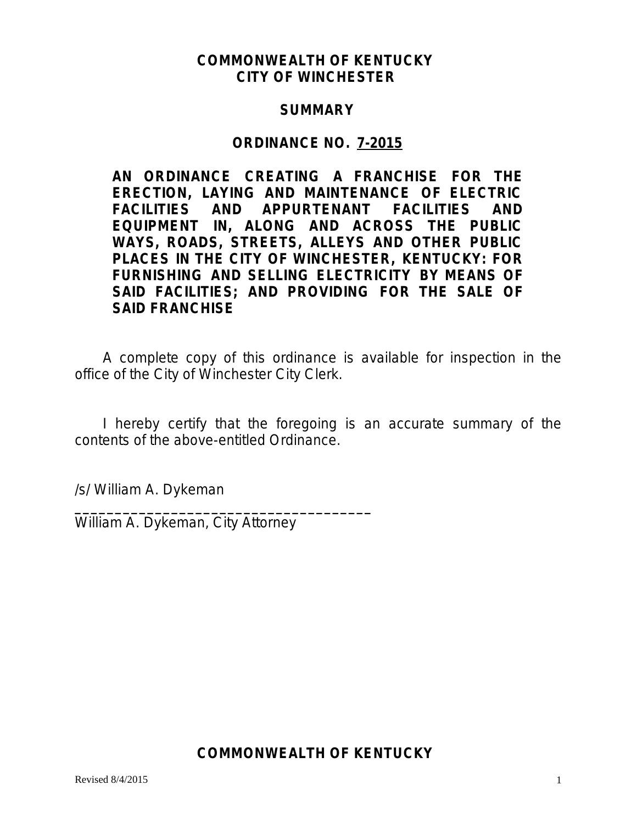# **COMMONWEALTH OF KENTUCKY CITY OF WINCHESTER**

## **SUMMARY**

## **ORDINANCE NO. 7-2015**

**AN ORDINANCE CREATING A FRANCHISE FOR THE ERECTION, LAYING AND MAINTENANCE OF ELECTRIC FACILITIES AND APPURTENANT FACILITIES AND EQUIPMENT IN, ALONG AND ACROSS THE PUBLIC WAYS, ROADS, STREETS, ALLEYS AND OTHER PUBLIC PLACES IN THE CITY OF WINCHESTER, KENTUCKY: FOR FURNISHING AND SELLING ELECTRICITY BY MEANS OF SAID FACILITIES; AND PROVIDING FOR THE SALE OF SAID FRANCHISE**

A complete copy of this ordinance is available for inspection in the office of the City of Winchester City Clerk.

I hereby certify that the foregoing is an accurate summary of the contents of the above-entitled Ordinance.

/s/ William A. Dykeman

William A. Dykeman, City Attorney

**\_\_\_\_\_\_\_\_\_\_\_\_\_\_\_\_\_\_\_\_\_\_\_\_\_\_\_\_\_\_\_\_\_\_\_\_\_**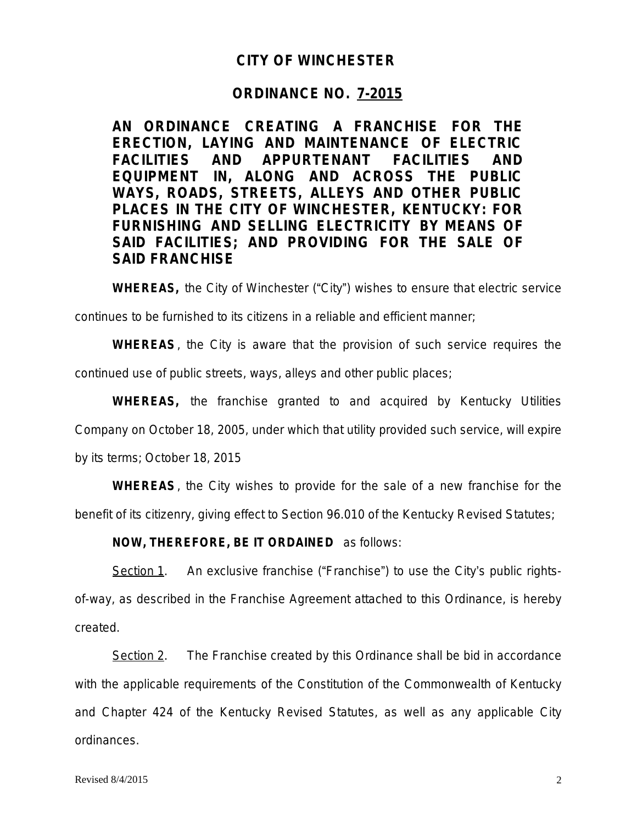### **CITY OF WINCHESTER**

### **ORDINANCE NO. 7-2015**

**AN ORDINANCE CREATING A FRANCHISE FOR THE ERECTION, LAYING AND MAINTENANCE OF ELECTRIC FACILITIES AND APPURTENANT FACILITIES AND EQUIPMENT IN, ALONG AND ACROSS THE PUBLIC WAYS, ROADS, STREETS, ALLEYS AND OTHER PUBLIC PLACES IN THE CITY OF WINCHESTER, KENTUCKY: FOR FURNISHING AND SELLING ELECTRICITY BY MEANS OF SAID FACILITIES; AND PROVIDING FOR THE SALE OF SAID FRANCHISE**

**WHEREAS,** the City of Winchester ("City") wishes to ensure that electric service

continues to be furnished to its citizens in a reliable and efficient manner;

**WHEREAS**, the City is aware that the provision of such service requires the continued use of public streets, ways, alleys and other public places;

**WHEREAS,** the franchise granted to and acquired by Kentucky Utilities Company on October 18, 2005, under which that utility provided such service, will expire by its terms; October 18, 2015

**WHEREAS**, the City wishes to provide for the sale of a new franchise for the benefit of its citizenry, giving effect to Section 96.010 of the Kentucky Revised Statutes;

### **NOW, THEREFORE, BE IT ORDAINED** as follows:

Section 1. An exclusive franchise ("Franchise") to use the City's public rightsof-way, as described in the Franchise Agreement attached to this Ordinance, is hereby created.

Section 2. The Franchise created by this Ordinance shall be bid in accordance with the applicable requirements of the Constitution of the Commonwealth of Kentucky and Chapter 424 of the Kentucky Revised Statutes, as well as any applicable City ordinances.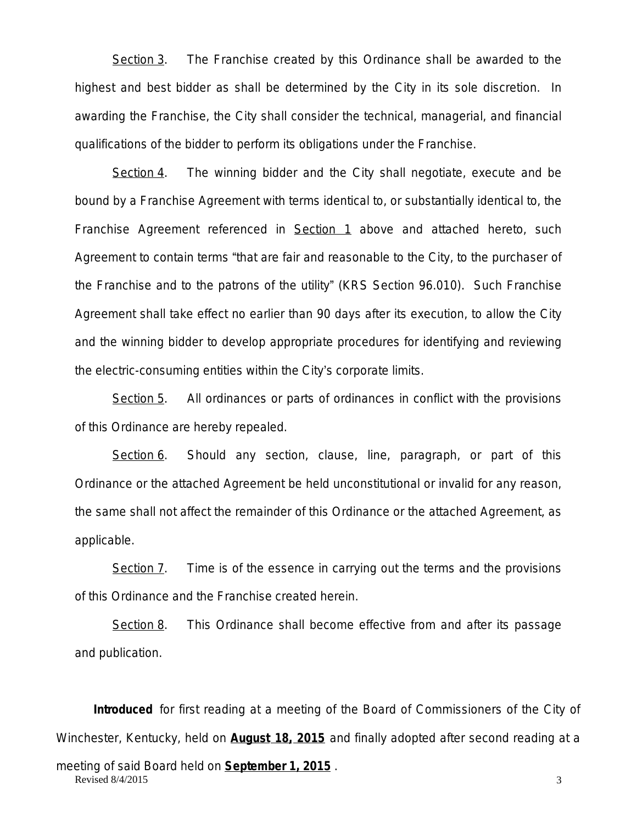Section 3. The Franchise created by this Ordinance shall be awarded to the highest and best bidder as shall be determined by the City in its sole discretion. In awarding the Franchise, the City shall consider the technical, managerial, and financial qualifications of the bidder to perform its obligations under the Franchise.

Section 4. The winning bidder and the City shall negotiate, execute and be bound by a Franchise Agreement with terms identical to, or substantially identical to, the Franchise Agreement referenced in Section 1 above and attached hereto, such Agreement to contain terms "that are fair and reasonable to the City, to the purchaser of the Franchise and to the patrons of the utility" (KRS Section 96.010). Such Franchise Agreement shall take effect no earlier than 90 days after its execution, to allow the City and the winning bidder to develop appropriate procedures for identifying and reviewing the electric-consuming entities within the City's corporate limits.

Section 5. All ordinances or parts of ordinances in conflict with the provisions of this Ordinance are hereby repealed.

Section 6. Should any section, clause, line, paragraph, or part of this Ordinance or the attached Agreement be held unconstitutional or invalid for any reason, the same shall not affect the remainder of this Ordinance or the attached Agreement, as applicable.

Section 7. Time is of the essence in carrying out the terms and the provisions of this Ordinance and the Franchise created herein.

Section 8. This Ordinance shall become effective from and after its passage and publication.

Revised  $8/4/2015$  3 **Introduced** for first reading at a meeting of the Board of Commissioners of the City of Winchester, Kentucky, held on **August 18, 2015** and finally adopted after second reading at a meeting of said Board held on **September 1, 2015** .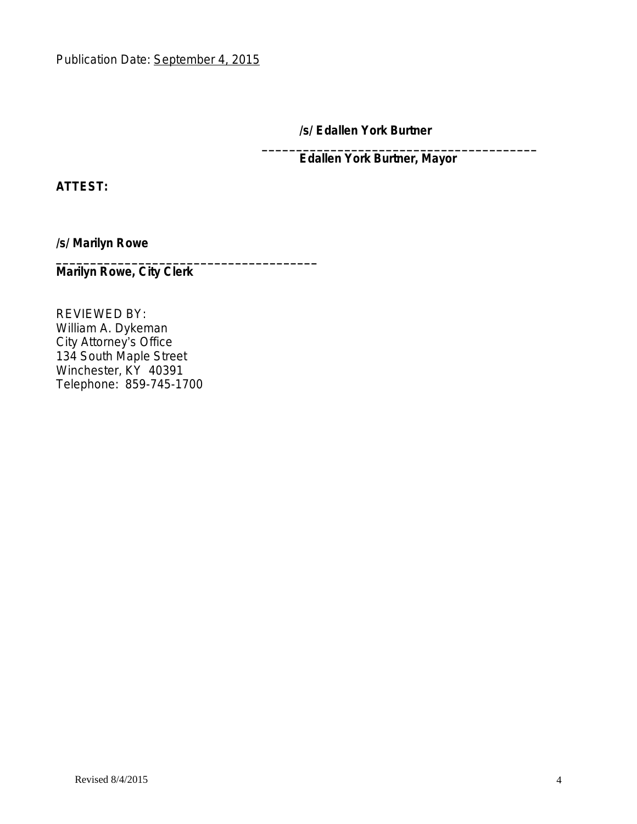**/s/ Edallen York Burtner**

**\_\_\_\_\_\_\_\_\_\_\_\_\_\_\_\_\_\_\_\_\_\_\_\_\_\_\_\_\_\_\_\_\_\_\_\_\_\_\_\_ Edallen York Burtner, Mayor**

**ATTEST:**

**/s/ Marilyn Rowe**

**Marilyn Rowe, City Clerk**

**\_\_\_\_\_\_\_\_\_\_\_\_\_\_\_\_\_\_\_\_\_\_\_\_\_\_\_\_\_\_\_\_\_\_\_\_\_\_**

REVIEWED BY: William A. Dykeman City Attorney's Office 134 South Maple Street Winchester, KY 40391 Telephone: 859-745-1700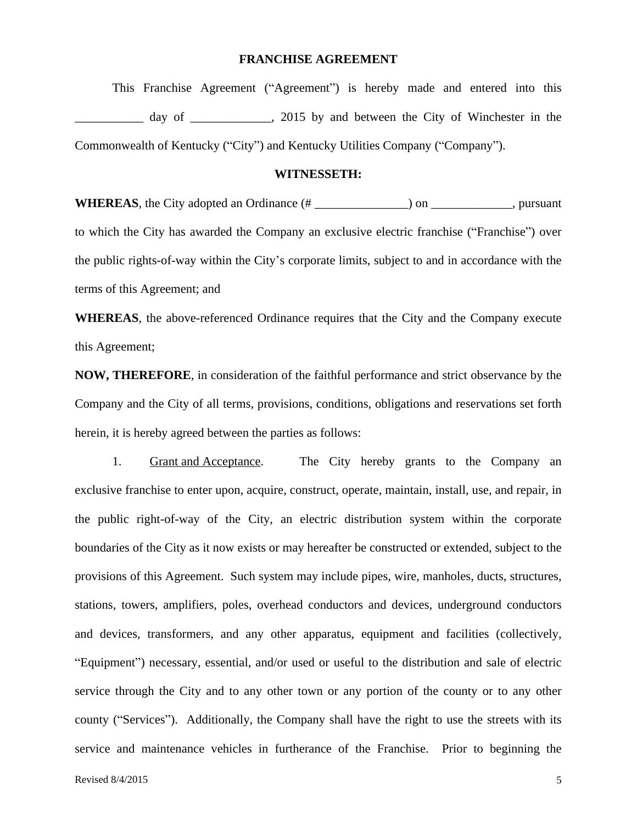### **FRANCHISE AGREEMENT**

This Franchise Agreement ("Agreement") is hereby made and entered into this day of \_\_\_\_\_\_\_\_\_\_\_, 2015 by and between the City of Winchester in the Commonwealth of Kentucky ("City") and Kentucky Utilities Company ("Company").

#### **WITNESSETH:**

**WHEREAS**, the City adopted an Ordinance (# \_\_\_\_\_\_\_\_\_\_\_\_\_\_\_) on \_\_\_\_\_\_\_\_\_\_\_\_\_, pursuant to which the City has awarded the Company an exclusive electric franchise ("Franchise") over the public rights-of-way within the City's corporate limits, subject to and in accordance with the terms of this Agreement; and

**WHEREAS**, the above-referenced Ordinance requires that the City and the Company execute this Agreement;

**NOW, THEREFORE**, in consideration of the faithful performance and strict observance by the Company and the City of all terms, provisions, conditions, obligations and reservations set forth herein, it is hereby agreed between the parties as follows:

1. Grant and Acceptance. The City hereby grants to the Company an exclusive franchise to enter upon, acquire, construct, operate, maintain, install, use, and repair, in the public right-of-way of the City, an electric distribution system within the corporate boundaries of the City as it now exists or may hereafter be constructed or extended, subject to the provisions of this Agreement. Such system may include pipes, wire, manholes, ducts, structures, stations, towers, amplifiers, poles, overhead conductors and devices, underground conductors and devices, transformers, and any other apparatus, equipment and facilities (collectively, "Equipment") necessary, essential, and/or used or useful to the distribution and sale of electric service through the City and to any other town or any portion of the county or to any other county ("Services"). Additionally, the Company shall have the right to use the streets with its service and maintenance vehicles in furtherance of the Franchise. Prior to beginning the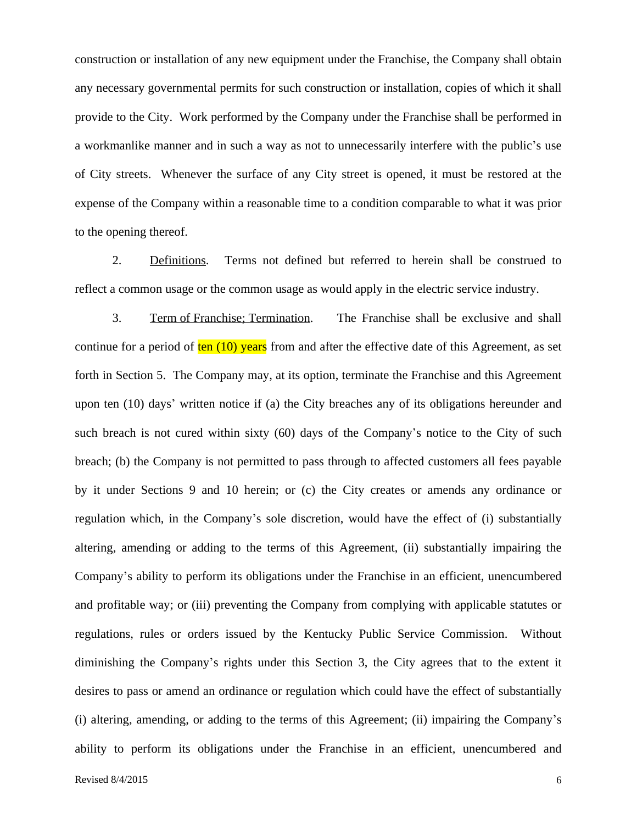construction or installation of any new equipment under the Franchise, the Company shall obtain any necessary governmental permits for such construction or installation, copies of which it shall provide to the City. Work performed by the Company under the Franchise shall be performed in a workmanlike manner and in such a way as not to unnecessarily interfere with the public's use of City streets. Whenever the surface of any City street is opened, it must be restored at the expense of the Company within a reasonable time to a condition comparable to what it was prior to the opening thereof.

2. Definitions. Terms not defined but referred to herein shall be construed to reflect a common usage or the common usage as would apply in the electric service industry.

3. Term of Franchise; Termination. The Franchise shall be exclusive and shall continue for a period of  $ten (10)$  years from and after the effective date of this Agreement, as set forth in Section 5. The Company may, at its option, terminate the Franchise and this Agreement upon ten (10) days' written notice if (a) the City breaches any of its obligations hereunder and such breach is not cured within sixty (60) days of the Company's notice to the City of such breach; (b) the Company is not permitted to pass through to affected customers all fees payable by it under Sections 9 and 10 herein; or (c) the City creates or amends any ordinance or regulation which, in the Company's sole discretion, would have the effect of (i) substantially altering, amending or adding to the terms of this Agreement, (ii) substantially impairing the Company's ability to perform its obligations under the Franchise in an efficient, unencumbered and profitable way; or (iii) preventing the Company from complying with applicable statutes or regulations, rules or orders issued by the Kentucky Public Service Commission. Without diminishing the Company's rights under this Section 3, the City agrees that to the extent it desires to pass or amend an ordinance or regulation which could have the effect of substantially (i) altering, amending, or adding to the terms of this Agreement; (ii) impairing the Company's ability to perform its obligations under the Franchise in an efficient, unencumbered and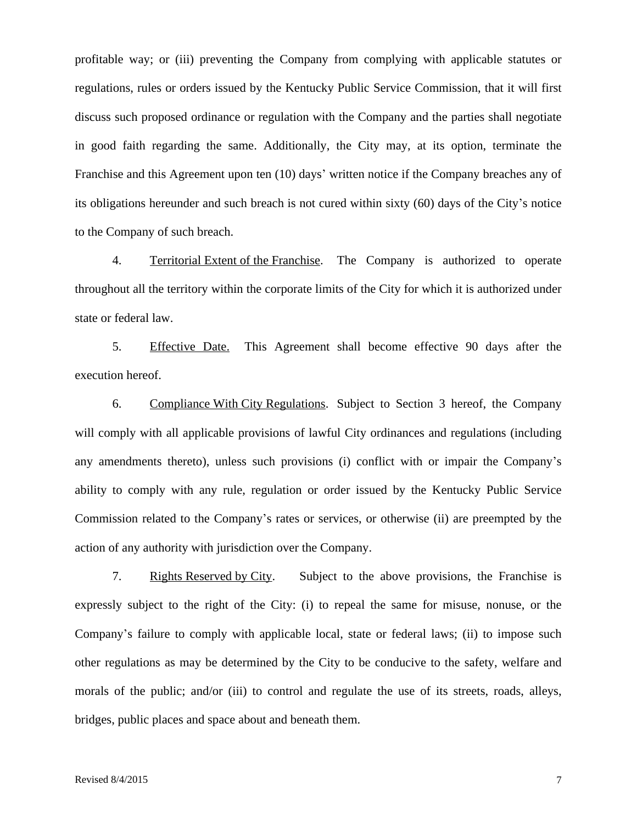profitable way; or (iii) preventing the Company from complying with applicable statutes or regulations, rules or orders issued by the Kentucky Public Service Commission, that it will first discuss such proposed ordinance or regulation with the Company and the parties shall negotiate in good faith regarding the same. Additionally, the City may, at its option, terminate the Franchise and this Agreement upon ten (10) days' written notice if the Company breaches any of its obligations hereunder and such breach is not cured within sixty (60) days of the City's notice to the Company of such breach.

4. Territorial Extent of the Franchise. The Company is authorized to operate throughout all the territory within the corporate limits of the City for which it is authorized under state or federal law.

5. Effective Date. This Agreement shall become effective 90 days after the execution hereof.

6. Compliance With City Regulations. Subject to Section 3 hereof, the Company will comply with all applicable provisions of lawful City ordinances and regulations (including any amendments thereto), unless such provisions (i) conflict with or impair the Company's ability to comply with any rule, regulation or order issued by the Kentucky Public Service Commission related to the Company's rates or services, or otherwise (ii) are preempted by the action of any authority with jurisdiction over the Company.

7. Rights Reserved by City. Subject to the above provisions, the Franchise is expressly subject to the right of the City: (i) to repeal the same for misuse, nonuse, or the Company's failure to comply with applicable local, state or federal laws; (ii) to impose such other regulations as may be determined by the City to be conducive to the safety, welfare and morals of the public; and/or (iii) to control and regulate the use of its streets, roads, alleys, bridges, public places and space about and beneath them.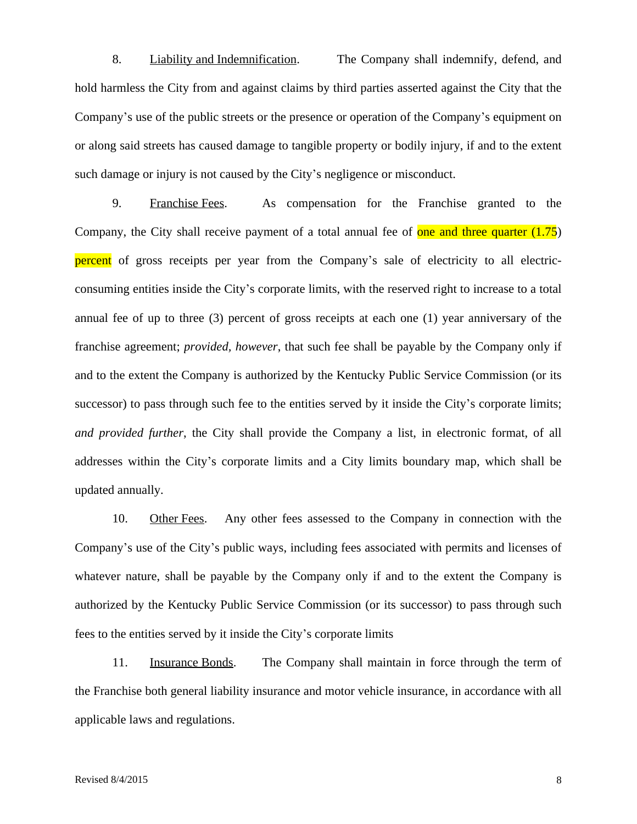8. Liability and Indemnification. The Company shall indemnify, defend, and hold harmless the City from and against claims by third parties asserted against the City that the Company's use of the public streets or the presence or operation of the Company's equipment on or along said streets has caused damage to tangible property or bodily injury, if and to the extent such damage or injury is not caused by the City's negligence or misconduct.

9. Franchise Fees. As compensation for the Franchise granted to the Company, the City shall receive payment of a total annual fee of one and three quarter  $(1.75)$ percent of gross receipts per year from the Company's sale of electricity to all electricconsuming entities inside the City's corporate limits, with the reserved right to increase to a total annual fee of up to three (3) percent of gross receipts at each one (1) year anniversary of the franchise agreement; *provided, however*, that such fee shall be payable by the Company only if and to the extent the Company is authorized by the Kentucky Public Service Commission (or its successor) to pass through such fee to the entities served by it inside the City's corporate limits; *and provided further*, the City shall provide the Company a list, in electronic format, of all addresses within the City's corporate limits and a City limits boundary map, which shall be updated annually.

10. Other Fees. Any other fees assessed to the Company in connection with the Company's use of the City's public ways, including fees associated with permits and licenses of whatever nature, shall be payable by the Company only if and to the extent the Company is authorized by the Kentucky Public Service Commission (or its successor) to pass through such fees to the entities served by it inside the City's corporate limits

11. Insurance Bonds. The Company shall maintain in force through the term of the Franchise both general liability insurance and motor vehicle insurance, in accordance with all applicable laws and regulations.